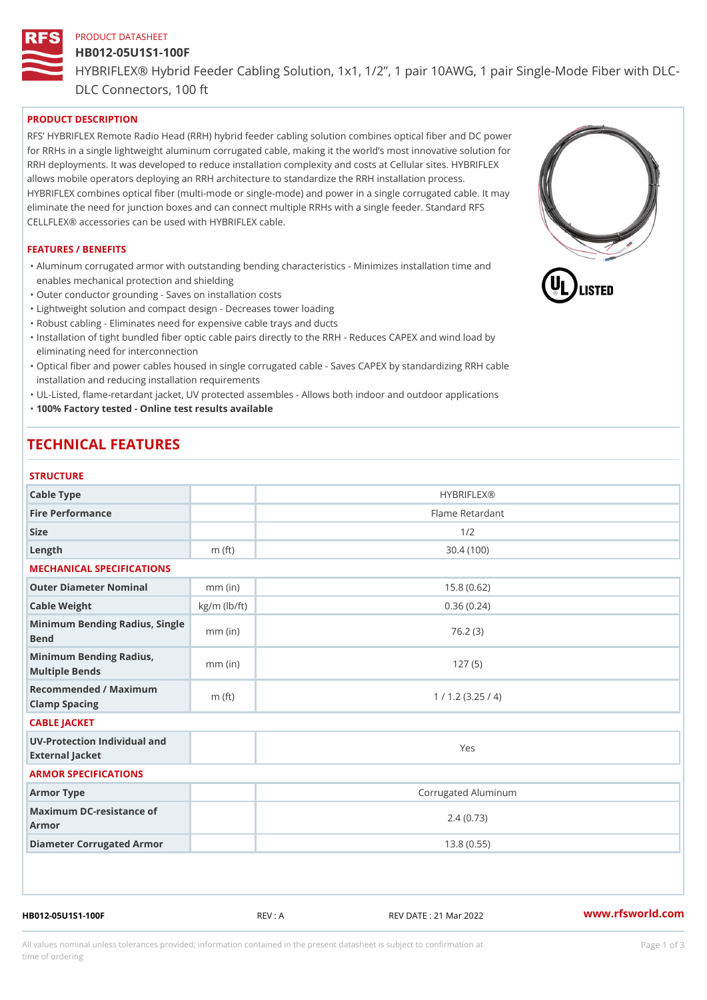# PRODUCT DATASHEET HB012-05U1S1-100F HYBRIFLEX® Hybrid Feeder Cabling Solution, 1x1, 1/2, 1 pair 10AWG, DLC Connectors, 100 ft

## PRODUCT DESCRIPTION

RFS HYBRIFLEX Remote Radio Head (RRH) hybrid feeder cabling solution combines optical fiber and for RRHs in a single lightweight aluminum corrugated cable, making it the world s most innovative s RRH deployments. It was developed to reduce installation complexity and costs at Cellular sites. HY allows mobile operators deploying an RRH architecture to standardize the RRH installation process. HYBRIFLEX combines optical fiber (multi-mode or single-mode) and power in a single corrugated cal eliminate the need for junction boxes and can connect multiple RRHs with a single feeder. Standard CELLFLEX® accessories can be used with HYBRIFLEX cable.

#### FEATURES / BENEFITS

"Aluminum corrugated armor with outstanding bending characteristics - Minimizes installation time a enables mechanical protection and shielding

"Outer conductor grounding - Saves on installation costs

"Lightweight solution and compact design - Decreases tower loading

"Robust cabling - Eliminates need for expensive cable trays and ducts

"Installation of tight bundled fiber optic cable pairs directly to the RRH - Reduces CAPEX and wind eliminating need for interconnection

"Optical fiber and power cables housed in single corrugated cable – Saves CAPEX by standardiz|ng installation and reducing installation requirements

"UL-Listed, flame-retardant jacket, UV protected assembles - Allows both indoor and outdoor applic "100% Factory tested - Online test results available

# TECHNICAL FEATURES

### STRUCTURE

| 3   R U U I U R E                                 |                    |                     |
|---------------------------------------------------|--------------------|---------------------|
| Cable Type                                        |                    | <b>HYBRIFLEX®</b>   |
| Fire Performance                                  |                    | Flame Retardant     |
| Size                                              |                    | 1/2                 |
| $L$ ength                                         | $m$ (ft)           | 30.4(100)           |
| MECHANICAL SPECIFICATIONS                         |                    |                     |
| Outer Diameter Nominal                            | $mm$ (in)          | 15.8(0.62)          |
| Cable Weight                                      | $kg/m$ ( $lb/ft$ ) | 0.36(0.24)          |
| Minimum Bending Radius, Single<br>Bend            |                    | 76.2(3)             |
| Minimum Bending Radius, mm (in)<br>Multiple Bends |                    | 127(5)              |
| Recommended / Maximum<br>Clamp Spacing            | $m$ (ft)           | 1 / 1.2 (3.25 / 4)  |
| CABLE JACKET                                      |                    |                     |
| UV-Protection Individual and<br>External Jacket   |                    | Yes                 |
| ARMOR SPECIFICATIONS                              |                    |                     |
| Armor Type                                        |                    | Corrugated Aluminum |
| Maximum DC-resistance of<br>Armor                 |                    | 2.4(0.73)           |
| Diameter Corrugated Armor                         |                    | 13.8(0.55)          |
|                                                   |                    |                     |

HB012-05U1S1-100F REV : A REV DATE : 21 Mar 2022 [www.](https://www.rfsworld.com)rfsworld.com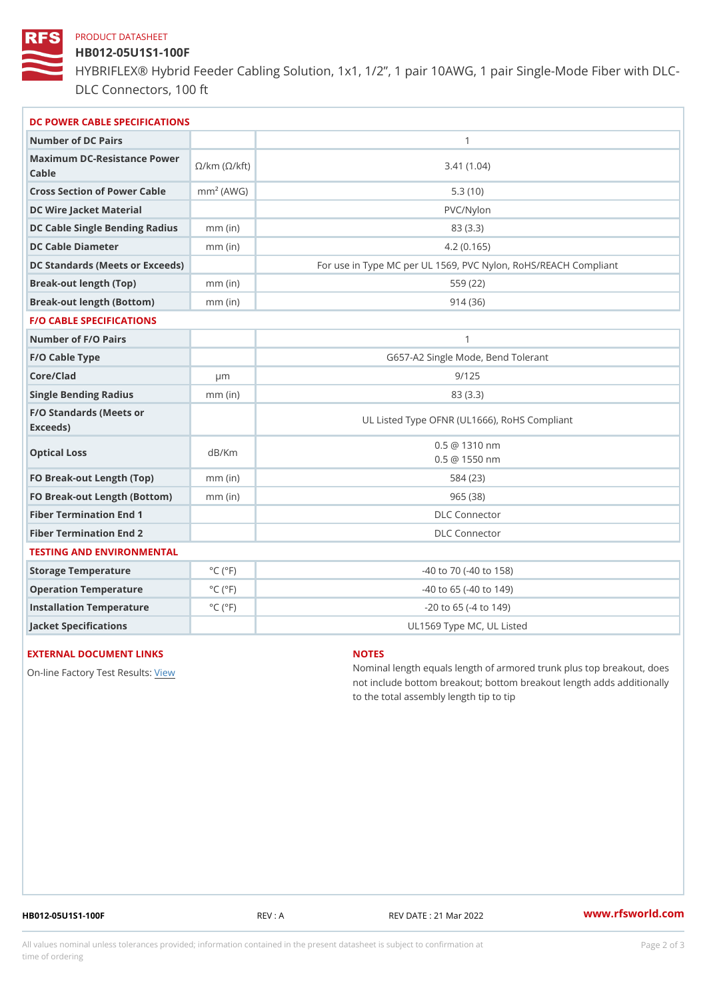#### PRODUCT DATASHEET

## HB012-05U1S1-100F

HYBRIFLEX® Hybrid Feeder Cabling Solution, 1x1, 1/2, 1 pair 10AWG, DLC Connectors, 100 ft

| DC POWER CABLE SPECIFICATIONS                                                                                                   |                             |                                                      |  |  |
|---------------------------------------------------------------------------------------------------------------------------------|-----------------------------|------------------------------------------------------|--|--|
| Number of DC Pairs                                                                                                              |                             | $\mathbf{1}$                                         |  |  |
| Maximum DC-Resistance $\bigotimes_{k=m}^{\infty}$ ( $\bigotimes_{k=m}^{\infty}$ /km ( $\bigotimes_{k=m}^{\infty}$ )<br>$C$ able |                             | 3.41(1.04)                                           |  |  |
| Cross Section of Power Cnamb Pe (A W G)                                                                                         |                             | 5.3(10)                                              |  |  |
| DC Wire Jacket Material                                                                                                         |                             | PVC/Nylon                                            |  |  |
| DC Cable Single Bending Rhandi(uish)                                                                                            |                             | 83 (3.3)                                             |  |  |
| DC Cable Diameter                                                                                                               | $mm$ (in)                   | 4.2(0.165)                                           |  |  |
| DC Standards (Meets or Exceeds)                                                                                                 |                             | For use in Type MC per UL 1569, PVC Nylon, RoHS/REAC |  |  |
| Break-out length (Top)                                                                                                          | $mm$ (in)                   | 559 (22)                                             |  |  |
| Break-out length (Bottom) mm (in)                                                                                               |                             | 914(36)                                              |  |  |
| <b>F/O CABLE SPECIFICATIONS</b>                                                                                                 |                             |                                                      |  |  |
| Number of F/O Pairs                                                                                                             |                             | $\mathbf{1}$                                         |  |  |
| F/O Cable Type                                                                                                                  |                             | G657-A2 Single Mode, Bend Tolerant                   |  |  |
| Core/Clad                                                                                                                       | μm                          | 9/125                                                |  |  |
| Single Bending Radius                                                                                                           | $mm$ (in)                   | 83 (3.3)                                             |  |  |
| F/O Standards (Meets or<br>Exceeds)                                                                                             |                             | UL Listed Type OFNR (UL1666), RoHS Compliant         |  |  |
| Optical Loss                                                                                                                    | dB/Km                       | $0.5 \ @ 1310 \text{ nm}$<br>$0.5 \t@ 1550 nm$       |  |  |
| FO Break-out Length (Top)mm (in)                                                                                                |                             | 584 (23)                                             |  |  |
| FO Break-out Length (Bottomm) (in)                                                                                              |                             | 965 (38)                                             |  |  |
| Fiber Termination End                                                                                                           |                             | <b>DLC</b> Connector                                 |  |  |
| Fiber Termination End 2                                                                                                         |                             | <b>DLC</b> Connector                                 |  |  |
| TESTING AND ENVIRONMENTAL                                                                                                       |                             |                                                      |  |  |
| Storage Temperature                                                                                                             | $^{\circ}$ C ( $^{\circ}$ F | $-40$ to $70$ ( $-40$ to $158$ )                     |  |  |
| Operation Temperature                                                                                                           | $^{\circ}$ C ( $^{\circ}$ F | $-40$ to 65 ( $-40$ to 149)                          |  |  |
| Installation Temperature                                                                                                        | $^{\circ}$ C ( $^{\circ}$ F | $-20$ to 65 ( $-4$ to 149)                           |  |  |
| Jacket Specifications                                                                                                           |                             | UL1569 Type MC, UL Listed                            |  |  |

## EXTERNAL DOCUMENT LINKS

On-line Factory Te[s](https://www.rfsworld.com/pictures/userfiles/programs/AAST Latest Version.zip)teRvesults:

#### NOTES

Nominal length equals length of armored trunk plus not include bottom breakout; bottom breakout length to the total assembly length tip to tip

HB012-05U1S1-100F REV : A REV DATE : 21 Mar 2022 [www.](https://www.rfsworld.com)rfsworld.com